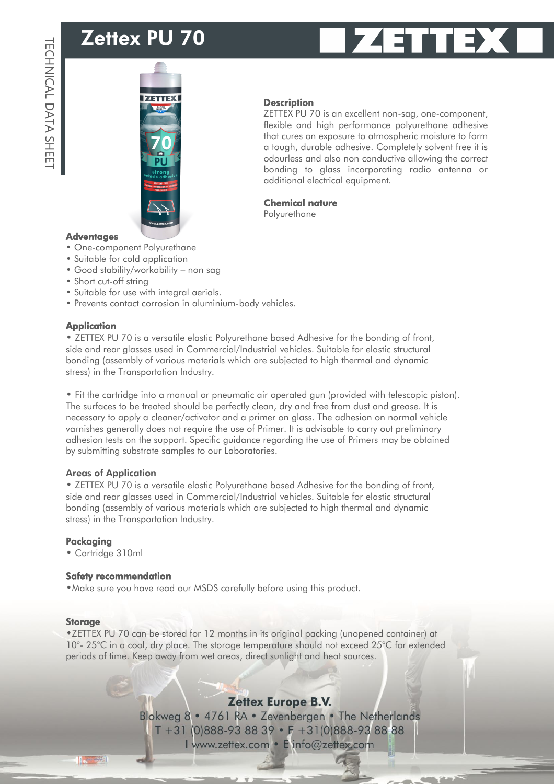# Zettex PU 70





#### **Description**

ZETTEX PU 70 is an excellent non-sag, one-component, flexible and high performance polyurethane adhesive that cures on exposure to atmospheric moisture to form a tough, durable adhesive. Completely solvent free it is odourless and also non conductive allowing the correct bonding to glass incorporating radio antenna or additional electrical equipment.

#### Chemical nature

**Polyurethane** 

#### **Adventages**

- One-component Polyurethane
- Suitable for cold application
- Good stability/workability non sag
- Short cut-off string
- Suitable for use with integral aerials.
- Prevents contact corrosion in aluminium-body vehicles.

#### **Application**

• ZETTEX PU 70 is a versatile elastic Polyurethane based Adhesive for the bonding of front, side and rear glasses used in Commercial/Industrial vehicles. Suitable for elastic structural bonding (assembly of various materials which are subjected to high thermal and dynamic stress) in the Transportation Industry.

• Fit the cartridge into a manual or pneumatic air operated gun (provided with telescopic piston). The surfaces to be treated should be perfectly clean, dry and free from dust and grease. It is necessary to apply a cleaner/activator and a primer on glass. The adhesion on normal vehicle varnishes generally does not require the use of Primer. It is advisable to carry out preliminary adhesion tests on the support. Specific guidance regarding the use of Primers may be obtained by submitting substrate samples to our Laboratories.

#### Areas of Application

• ZETTEX PU 70 is a versatile elastic Polyurethane based Adhesive for the bonding of front, side and rear glasses used in Commercial/Industrial vehicles. Suitable for elastic structural bonding (assembly of various materials which are subjected to high thermal and dynamic stress) in the Transportation Industry.

#### Packaging

• Cartridge 310ml

#### Safety recommendation

•Make sure you have read our MSDS carefully before using this product.

#### Storage

•ZETTEX PU 70 can be stored for 12 months in its original packing (unopened container) at 10°- 25°C in a cool, dry place. The storage temperature should not exceed 25°C for extended periods of time. Keep away from wet areas, direct sunlight and heat sources.

### **Zettex Europe B.V.**

Blokweg 8 . 4761 RA . Zevenbergen . The Netherlands  $T + 31 (0)888 - 938839 \cdot F + 31(0)888 - 938888$ I www.zettex.com · E info@zettex.com